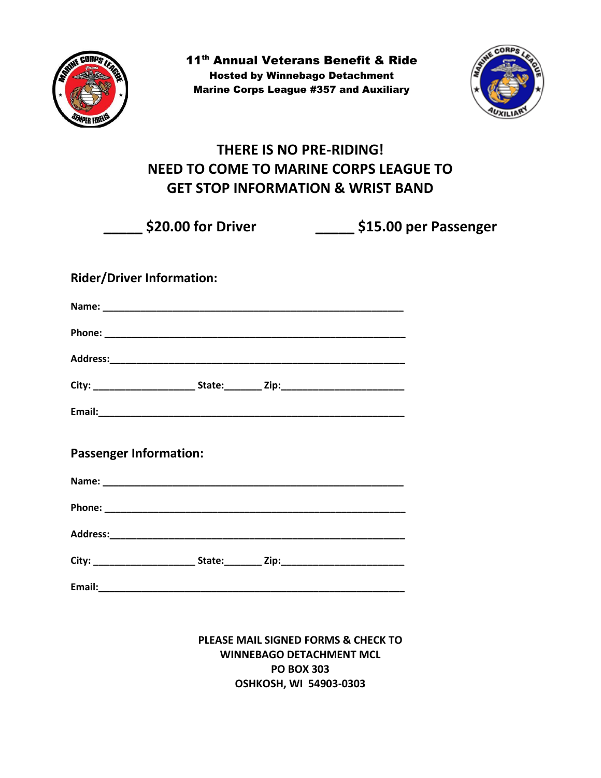

11<sup>th</sup> Annual Veterans Benefit & Ride Hosted by Winnebago Detachment Marine Corps League #357 and Auxiliary



## **THERE IS NO PRE-RIDING! NEED TO COME TO MARINE CORPS LEAGUE TO GET STOP INFORMATION & WRIST BAND**

**\_\_\_\_\_ \$20.00 for Driver \_\_\_\_\_ \$15.00 per Passenger**

## **Rider/Driver Information:**

| <b>Passenger Information:</b> |  |  |
|-------------------------------|--|--|
|                               |  |  |
|                               |  |  |
|                               |  |  |
|                               |  |  |

**Email:** 

**PLEASE MAIL SIGNED FORMS & CHECK TO WINNEBAGO DETACHMENT MCL PO BOX 303 OSHKOSH, WI 54903-0303**